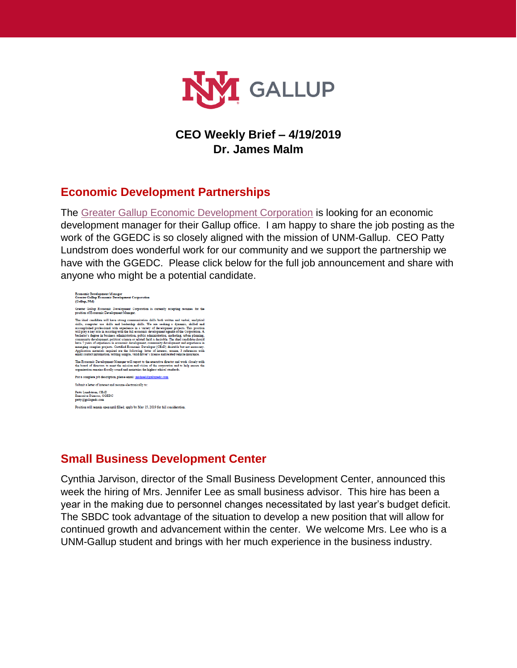

## **CEO Weekly Brief – 4/19/2019 Dr. James Malm**

### **Economic Development Partnerships**

The [Greater Gallup Economic Development Corporation](http://www.gallupedc.com/) is looking for an economic development manager for their Gallup office. I am happy to share the job posting as the work of the GGEDC is so closely aligned with the mission of UNM-Gallup. CEO Patty Lundstrom does wonderful work for our community and we support the partnership we have with the GGEDC. Please click below for the full job announcement and share with anyone who might be a potential candidate.



#### **Small Business Development Center**

Cynthia Jarvison, director of the Small Business Development Center, announced this week the hiring of Mrs. Jennifer Lee as small business advisor. This hire has been a year in the making due to personnel changes necessitated by last year's budget deficit. The SBDC took advantage of the situation to develop a new position that will allow for continued growth and advancement within the center. We welcome Mrs. Lee who is a UNM-Gallup student and brings with her much experience in the business industry.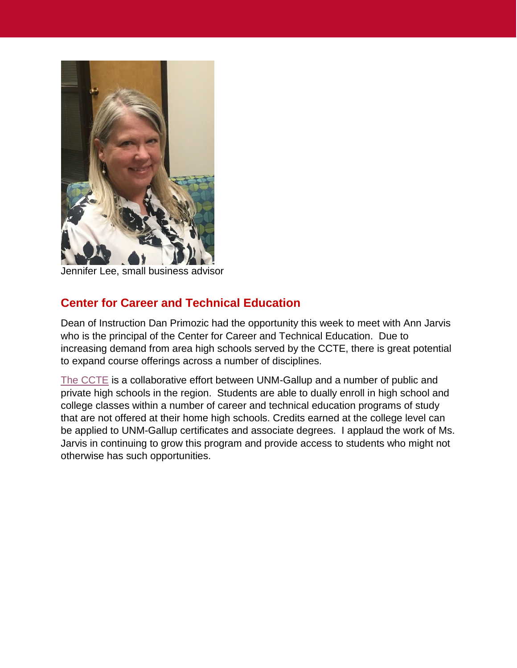

Jennifer Lee, small business advisor

# **Center for Career and Technical Education**

Dean of Instruction Dan Primozic had the opportunity this week to meet with Ann Jarvis who is the principal of the Center for Career and Technical Education. Due to increasing demand from area high schools served by the CCTE, there is great potential to expand course offerings across a number of disciplines.

[The CCTE](https://gallup.unm.edu/ccte/) is a collaborative effort between UNM-Gallup and a number of public and private high schools in the region. Students are able to dually enroll in high school and college classes within a number of career and technical education programs of study that are not offered at their home high schools. Credits earned at the college level can be applied to UNM-Gallup certificates and associate degrees. I applaud the work of Ms. Jarvis in continuing to grow this program and provide access to students who might not otherwise has such opportunities.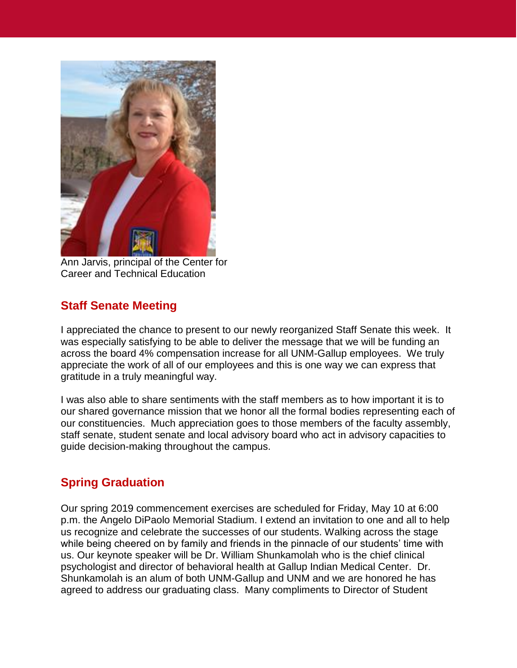

Ann Jarvis, principal of the Center for Career and Technical Education

## **Staff Senate Meeting**

I appreciated the chance to present to our newly reorganized Staff Senate this week. It was especially satisfying to be able to deliver the message that we will be funding an across the board 4% compensation increase for all UNM-Gallup employees. We truly appreciate the work of all of our employees and this is one way we can express that gratitude in a truly meaningful way.

I was also able to share sentiments with the staff members as to how important it is to our shared governance mission that we honor all the formal bodies representing each of our constituencies. Much appreciation goes to those members of the faculty assembly, staff senate, student senate and local advisory board who act in advisory capacities to guide decision-making throughout the campus.

### **Spring Graduation**

Our spring 2019 commencement exercises are scheduled for Friday, May 10 at 6:00 p.m. the Angelo DiPaolo Memorial Stadium. I extend an invitation to one and all to help us recognize and celebrate the successes of our students. Walking across the stage while being cheered on by family and friends in the pinnacle of our students' time with us. Our keynote speaker will be Dr. William Shunkamolah who is the chief clinical psychologist and director of behavioral health at Gallup Indian Medical Center. Dr. Shunkamolah is an alum of both UNM-Gallup and UNM and we are honored he has agreed to address our graduating class. Many compliments to Director of Student